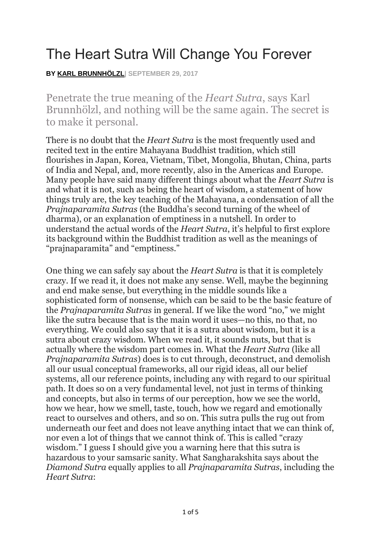## The Heart Sutra Will Change You Forever

**BY KARL BRUNNHÖLZL| SEPTEMBER 29, 2017**

Penetrate the true meaning of the *Heart Sutra*, says Karl Brunnhölzl, and nothing will be the same again. The secret is to make it personal.

There is no doubt that the *Heart Sutra* is the most frequently used and recited text in the entire Mahayana Buddhist tradition, which still flourishes in Japan, Korea, Vietnam, Tibet, Mongolia, Bhutan, China, parts of India and Nepal, and, more recently, also in the Americas and Europe. Many people have said many different things about what the *Heart Sutra* is and what it is not, such as being the heart of wisdom, a statement of how things truly are, the key teaching of the Mahayana, a condensation of all the *Prajnaparamita Sutras* (the Buddha's second turning of the wheel of dharma), or an explanation of emptiness in a nutshell. In order to understand the actual words of the *Heart Sutra*, it's helpful to first explore its background within the Buddhist tradition as well as the meanings of "prajnaparamita" and "emptiness."

One thing we can safely say about the *Heart Sutra* is that it is completely crazy. If we read it, it does not make any sense. Well, maybe the beginning and end make sense, but everything in the middle sounds like a sophisticated form of nonsense, which can be said to be the basic feature of the *Prajnaparamita Sutras* in general. If we like the word "no," we might like the sutra because that is the main word it uses—no this, no that, no everything. We could also say that it is a sutra about wisdom, but it is a sutra about crazy wisdom. When we read it, it sounds nuts, but that is actually where the wisdom part comes in. What the *Heart Sutra* (like all *Prajnaparamita Sutras*) does is to cut through, deconstruct, and demolish all our usual conceptual frameworks, all our rigid ideas, all our belief systems, all our reference points, including any with regard to our spiritual path. It does so on a very fundamental level, not just in terms of thinking and concepts, but also in terms of our perception, how we see the world, how we hear, how we smell, taste, touch, how we regard and emotionally react to ourselves and others, and so on. This sutra pulls the rug out from underneath our feet and does not leave anything intact that we can think of, nor even a lot of things that we cannot think of. This is called "crazy wisdom." I guess I should give you a warning here that this sutra is hazardous to your samsaric sanity. What Sangharakshita says about the *Diamond Sutra* equally applies to all *Prajnaparamita Sutras*, including the *Heart Sutra*: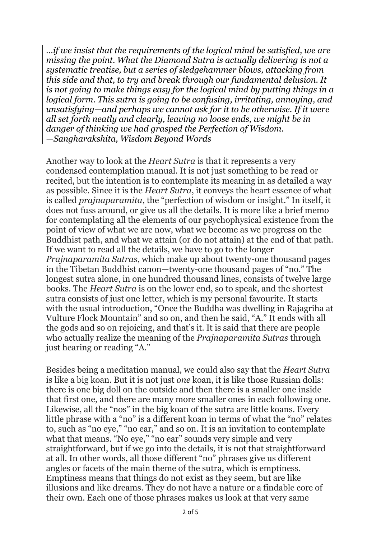*…if we insist that the requirements of the logical mind be satisfied, we are missing the point. What the Diamond Sutra is actually delivering is not a systematic treatise, but a series of sledgehammer blows, attacking from this side and that, to try and break through our fundamental delusion. It is not going to make things easy for the logical mind by putting things in a logical form. This sutra is going to be confusing, irritating, annoying, and unsatisfying—and perhaps we cannot ask for it to be otherwise. If it were all set forth neatly and clearly, leaving no loose ends, we might be in danger of thinking we had grasped the Perfection of Wisdom. —Sangharakshita, Wisdom Beyond Words*

Another way to look at the *Heart Sutra* is that it represents a very condensed contemplation manual. It is not just something to be read or recited, but the intention is to contemplate its meaning in as detailed a way as possible. Since it is the *Heart Sutra*, it conveys the heart essence of what is called *prajnaparamita*, the "perfection of wisdom or insight." In itself, it does not fuss around, or give us all the details. It is more like a brief memo for contemplating all the elements of our psychophysical existence from the point of view of what we are now, what we become as we progress on the Buddhist path, and what we attain (or do not attain) at the end of that path. If we want to read all the details, we have to go to the longer *Prajnaparamita Sutras*, which make up about twenty-one thousand pages in the Tibetan Buddhist canon—twenty-one thousand pages of "no." The longest sutra alone, in one hundred thousand lines, consists of twelve large books. The *Heart Sutra* is on the lower end, so to speak, and the shortest sutra consists of just one letter, which is my personal favourite. It starts with the usual introduction, "Once the Buddha was dwelling in Rajagriha at Vulture Flock Mountain" and so on, and then he said, "A." It ends with all the gods and so on rejoicing, and that's it. It is said that there are people who actually realize the meaning of the *Prajnaparamita Sutras* through just hearing or reading "A."

Besides being a meditation manual, we could also say that the *Heart Sutra* is like a big koan. But it is not just *one* koan, it is like those Russian dolls: there is one big doll on the outside and then there is a smaller one inside that first one, and there are many more smaller ones in each following one. Likewise, all the "nos" in the big koan of the sutra are little koans. Every little phrase with a "no" is a different koan in terms of what the "no" relates to, such as "no eye," "no ear," and so on. It is an invitation to contemplate what that means. "No eye," "no ear" sounds very simple and very straightforward, but if we go into the details, it is not that straightforward at all. In other words, all those different "no" phrases give us different angles or facets of the main theme of the sutra, which is emptiness. Emptiness means that things do not exist as they seem, but are like illusions and like dreams. They do not have a nature or a findable core of their own. Each one of those phrases makes us look at that very same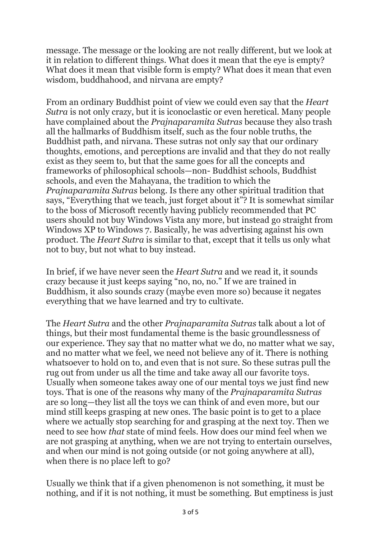message. The message or the looking are not really different, but we look at it in relation to different things. What does it mean that the eye is empty? What does it mean that visible form is empty? What does it mean that even wisdom, buddhahood, and nirvana are empty?

From an ordinary Buddhist point of view we could even say that the *Heart Sutra* is not only crazy, but it is iconoclastic or even heretical. Many people have complained about the *Prajnaparamita Sutras* because they also trash all the hallmarks of Buddhism itself, such as the four noble truths, the Buddhist path, and nirvana. These sutras not only say that our ordinary thoughts, emotions, and perceptions are invalid and that they do not really exist as they seem to, but that the same goes for all the concepts and frameworks of philosophical schools—non- Buddhist schools, Buddhist schools, and even the Mahayana, the tradition to which the *Prajnaparamita Sutras* belong. Is there any other spiritual tradition that says, "Everything that we teach, just forget about it"? It is somewhat similar to the boss of Microsoft recently having publicly recommended that PC users should not buy Windows Vista any more, but instead go straight from Windows XP to Windows 7. Basically, he was advertising against his own product. The *Heart Sutra* is similar to that, except that it tells us only what not to buy, but not what to buy instead.

In brief, if we have never seen the *Heart Sutra* and we read it, it sounds crazy because it just keeps saying "no, no, no." If we are trained in Buddhism, it also sounds crazy (maybe even more so) because it negates everything that we have learned and try to cultivate.

The *Heart Sutra* and the other *Prajnaparamita Sutras* talk about a lot of things, but their most fundamental theme is the basic groundlessness of our experience. They say that no matter what we do, no matter what we say, and no matter what we feel, we need not believe any of it. There is nothing whatsoever to hold on to, and even that is not sure. So these sutras pull the rug out from under us all the time and take away all our favorite toys. Usually when someone takes away one of our mental toys we just find new toys. That is one of the reasons why many of the *Prajnaparamita Sutras* are so long—they list all the toys we can think of and even more, but our mind still keeps grasping at new ones. The basic point is to get to a place where we actually stop searching for and grasping at the next toy. Then we need to see how *that* state of mind feels. How does our mind feel when we are not grasping at anything, when we are not trying to entertain ourselves, and when our mind is not going outside (or not going anywhere at all), when there is no place left to go?

Usually we think that if a given phenomenon is not something, it must be nothing, and if it is not nothing, it must be something. But emptiness is just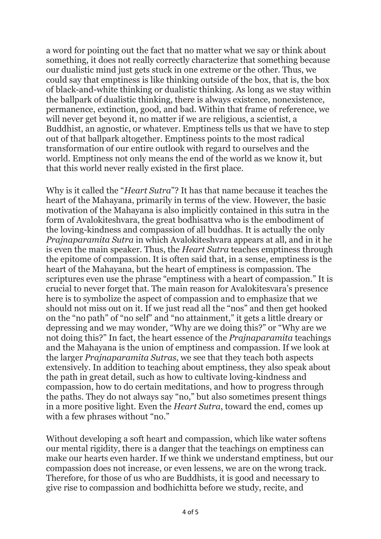a word for pointing out the fact that no matter what we say or think about something, it does not really correctly characterize that something because our dualistic mind just gets stuck in one extreme or the other. Thus, we could say that emptiness is like thinking outside of the box, that is, the box of black-and-white thinking or dualistic thinking. As long as we stay within the ballpark of dualistic thinking, there is always existence, nonexistence, permanence, extinction, good, and bad. Within that frame of reference, we will never get beyond it, no matter if we are religious, a scientist, a Buddhist, an agnostic, or whatever. Emptiness tells us that we have to step out of that ballpark altogether. Emptiness points to the most radical transformation of our entire outlook with regard to ourselves and the world. Emptiness not only means the end of the world as we know it, but that this world never really existed in the first place.

Why is it called the "*Heart Sutra*"? It has that name because it teaches the heart of the Mahayana, primarily in terms of the view. However, the basic motivation of the Mahayana is also implicitly contained in this sutra in the form of Avalokiteshvara, the great bodhisattva who is the embodiment of the loving-kindness and compassion of all buddhas. It is actually the only *Prajnaparamita Sutra* in which Avalokiteshvara appears at all, and in it he is even the main speaker. Thus, the *Heart Sutra* teaches emptiness through the epitome of compassion. It is often said that, in a sense, emptiness is the heart of the Mahayana, but the heart of emptiness is compassion. The scriptures even use the phrase "emptiness with a heart of compassion." It is crucial to never forget that. The main reason for Avalokitesvara's presence here is to symbolize the aspect of compassion and to emphasize that we should not miss out on it. If we just read all the "nos" and then get hooked on the "no path" of "no self" and "no attainment," it gets a little dreary or depressing and we may wonder, "Why are we doing this?" or "Why are we not doing this?" In fact, the heart essence of the *Prajnaparamita* teachings and the Mahayana is the union of emptiness and compassion. If we look at the larger *Prajnaparamita Sutras*, we see that they teach both aspects extensively. In addition to teaching about emptiness, they also speak about the path in great detail, such as how to cultivate loving-kindness and compassion, how to do certain meditations, and how to progress through the paths. They do not always say "no," but also sometimes present things in a more positive light. Even the *Heart Sutra*, toward the end, comes up with a few phrases without "no."

Without developing a soft heart and compassion, which like water softens our mental rigidity, there is a danger that the teachings on emptiness can make our hearts even harder. If we think we understand emptiness, but our compassion does not increase, or even lessens, we are on the wrong track. Therefore, for those of us who are Buddhists, it is good and necessary to give rise to compassion and bodhichitta before we study, recite, and